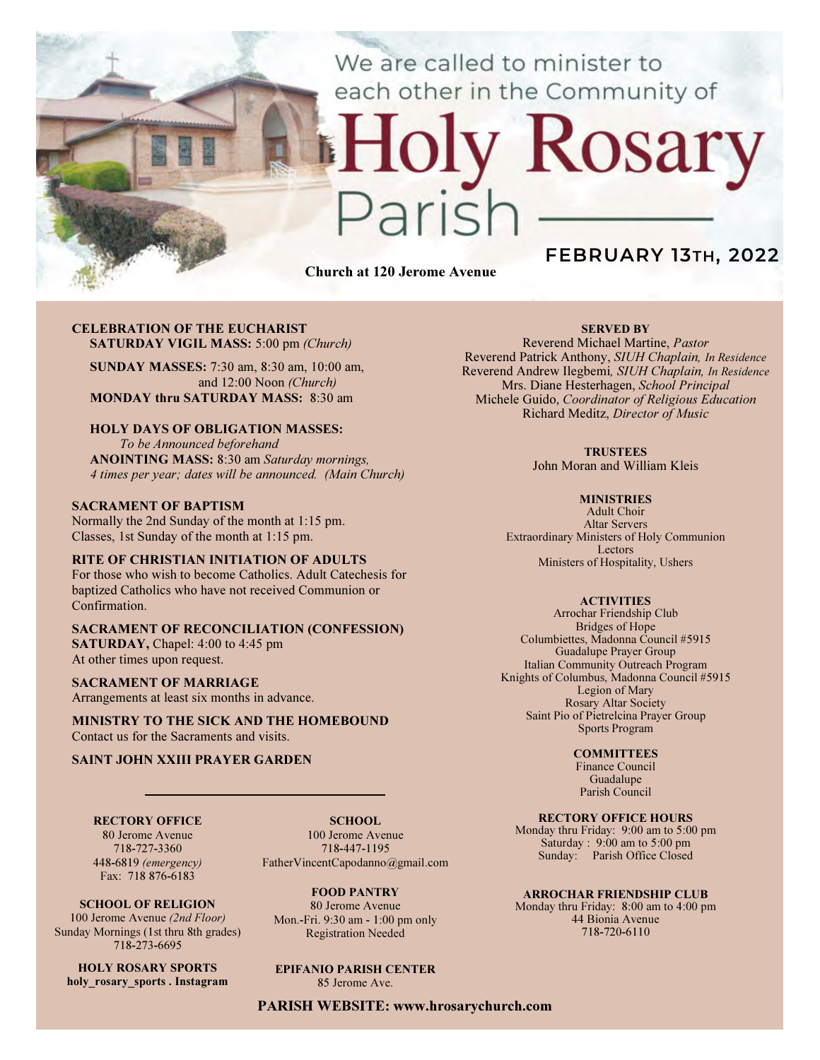We are called to minister to each other in the Community of

# Rosary

Church at 120 Jerome Avenue

# FEBRUARY 13TH, 2022

### CELEBRATION OF THE EUCHARIST SATURDAY VIGIL MASS: 5:00 pm (Church)

SUNDAY MASSES: 7:30 am, 8:30 am, 10:00 am, and 12:00 Noon (Church) MONDAY thru SATURDAY MASS: 8:30 am

# HOLY DAYS OF OBLIGATION MASSES:

To be Announced beforehand ANOINTING MASS: 8:30 am Saturday mornings, 4 times per year; dates will be announced. (Main Church)

### SACRAMENT OF BAPTISM

Normally the 2nd Sunday of the month at 1:15 pm. Classes, 1st Sunday of the month at 1:15 pm.

### RITE OF CHRISTIAN INITIATION OF ADULTS

For those who wish to become Catholics. Adult Catechesis for baptized Catholics who have not received Communion or Confirmation.

### SACRAMENT OF RECONCILIATION (CONFESSION) SATURDAY, Chapel: 4:00 to 4:45 pm At other times upon request.

SACRAMENT OF MARRIAGE Arrangements at least six months in advance.

MINISTRY TO THE SICK AND THE HOMEBOUND Contact us for the Sacraments and visits.

### SAINT JOHN XXIII PRAYER GARDEN

RECTORY OFFICE 80 Jerome Avenue 718-727-3360

448-6819 (emergency) Fax: 718 876-6183

SCHOOL OF RELIGION 100 Jerome Avenue (2nd Floor)

SCHOOL. 100 Jerome Avenue 718-447-1195 FatherVincentCapodanno@gmail.com

Sunday Mornings (1st thru 8th grades) FOOD PANTRY 80 Jerome Avenue Mon.-Fri. 9:30 am - 1:00 pm only Registration Needed

EPIFANIO PARISH CENTER

85 Jerome Ave.

# Reverend Michael Martine, Pastor

Reverend Patrick Anthony, SIUH Chaplain, In Residence Reverend Andrew Ilegbemi, SIUH Chaplain, In Residence Mrs. Diane Hesterhagen, School Principal Michele Guido, Coordinator of Religious Education Richard Meditz, Director of Music

SERVED BY

### **TRUSTEES**

John Moran and William Kleis

### **MINISTRIES**

Adult Choir Altar Servers Extraordinary Ministers of Holy Communion Lectors Ministers of Hospitality, Ushers

### **ACTIVITIES**

Arrochar Friendship Club Bridges of Hope Columbiettes, Madonna Council #5915 Guadalupe Prayer Group Italian Community Outreach Program Knights of Columbus, Madonna Council #5915 Legion of Mary Rosary Altar Society Saint Pio of Pietrelcina Prayer Group Sports Program

### **COMMITTEES**

Finance Council Guadalupe Parish Council

### RECTORY OFFICE HOURS

Monday thru Friday: 9:00 am to 5:00 pm Saturday : 9:00 am to 5:00 pm Sunday: Parish Office Closed

### ARROCHAR FRIENDSHIP CLUB

Monday thru Friday: 8:00 am to 4:00 pm 44 Bionia Avenue 718-720-6110

HOLY ROSARY SPORTS holy rosary sports . Instagram

718-273-6695

PARISH WEBSITE: www.hrosarychurch.com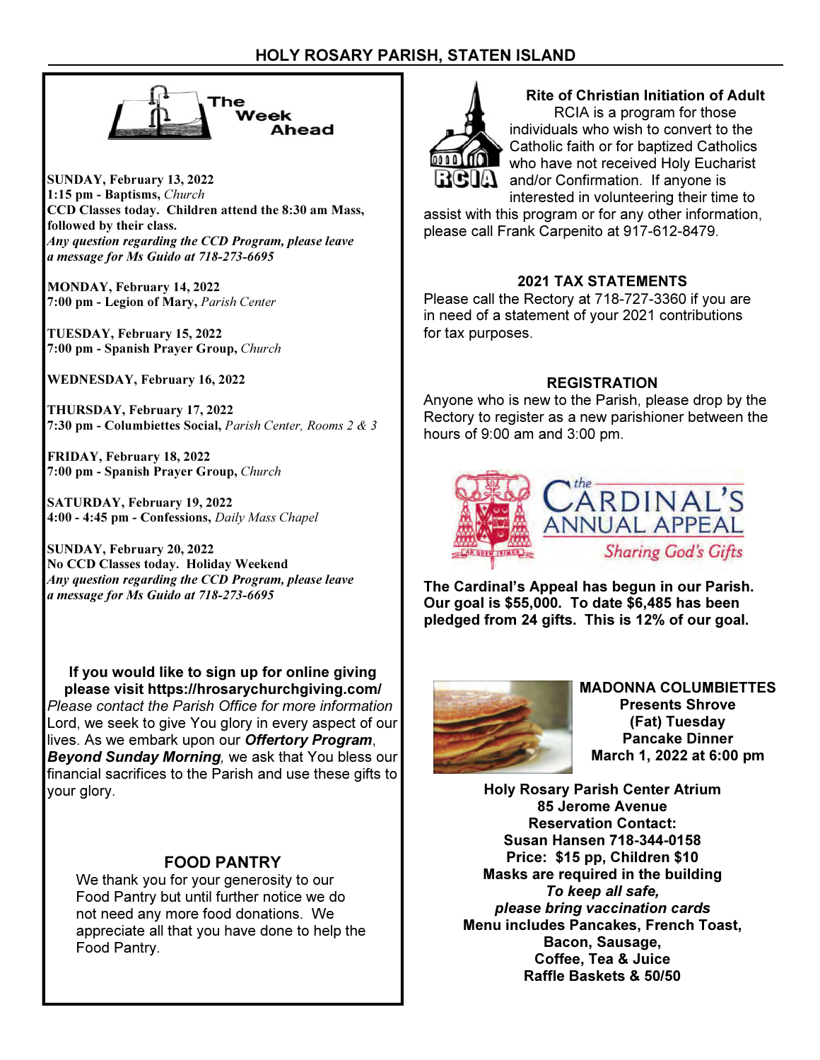

SUNDAY, February 13, 2022 1:15 pm - Baptisms, Church CCD Classes today. Children attend the 8:30 am Mass, followed by their class. Any question regarding the CCD Program, please leave a message for Ms Guido at 718-273-6695

MONDAY, February 14, 2022 7:00 pm - Legion of Mary, Parish Center

TUESDAY, February 15, 2022 7:00 pm - Spanish Prayer Group, Church

WEDNESDAY, February 16, 2022

THURSDAY, February 17, 2022 7:30 pm - Columbiettes Social, Parish Center, Rooms 2 & 3

FRIDAY, February 18, 2022 7:00 pm - Spanish Prayer Group, Church

SATURDAY, February 19, 2022 4:00 - 4:45 pm - Confessions, Daily Mass Chapel

SUNDAY, February 20, 2022 No CCD Classes today. Holiday Weekend Any question regarding the CCD Program, please leave a message for Ms Guido at 718-273-6695

If you would like to sign up for online giving please visit https://hrosarychurchgiving.com/ Please contact the Parish Office for more information Lord, we seek to give You glory in every aspect of our lives. As we embark upon our Offertory Program, Beyond Sunday Morning, we ask that You bless our financial sacrifices to the Parish and use these gifts to your glory.

# FOOD PANTRY

We thank you for your generosity to our Food Pantry but until further notice we do not need any more food donations. We appreciate all that you have done to help the Food Pantry.



### Rite of Christian Initiation of Adult RCIA is a program for those

individuals who wish to convert to the Catholic faith or for baptized Catholics who have not received Holy Eucharist **A** and/or Confirmation. If anyone is interested in volunteering their time to

assist with this program or for any other information, please call Frank Carpenito at 917-612-8479.

# 2021 TAX STATEMENTS

Please call the Rectory at 718-727-3360 if you are in need of a statement of your 2021 contributions for tax purposes.

# REGISTRATION

Anyone who is new to the Parish, please drop by the Rectory to register as a new parishioner between the hours of 9:00 am and 3:00 pm.



The Cardinal's Appeal has begun in our Parish. Our goal is \$55,000. To date \$6,485 has been pledged from 24 gifts. This is 12% of our goal.



MADONNA COLUMBIETTES Presents Shrove (Fat) Tuesday Pancake Dinner March 1, 2022 at 6:00 pm

Holy Rosary Parish Center Atrium 85 Jerome Avenue Reservation Contact: Susan Hansen 718-344-0158 Price: \$15 pp, Children \$10 Masks are required in the building To keep all safe, please bring vaccination cards Menu includes Pancakes, French Toast, Bacon, Sausage, Coffee, Tea & Juice Raffle Baskets & 50/50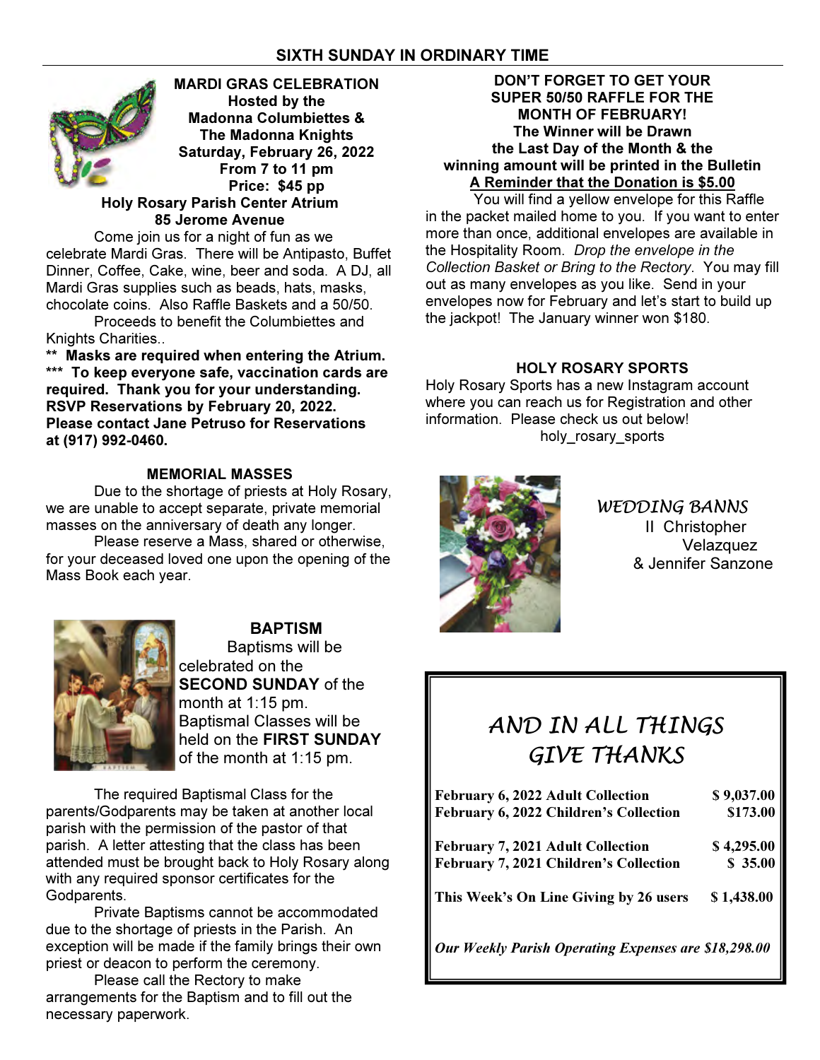# SIXTH SUNDAY IN ORDINARY TIME



Come join us for a night of fun as we celebrate Mardi Gras. There will be Antipasto, Buffet Dinner, Coffee, Cake, wine, beer and soda. A DJ, all Mardi Gras supplies such as beads, hats, masks, chocolate coins. Also Raffle Baskets and a 50/50.

 Proceeds to benefit the Columbiettes and Knights Charities..

\*\* Masks are required when entering the Atrium. \*\*\* To keep everyone safe, vaccination cards are required. Thank you for your understanding. RSVP Reservations by February 20, 2022. Please contact Jane Petruso for Reservations at (917) 992-0460.

# MEMORIAL MASSES

 Due to the shortage of priests at Holy Rosary, we are unable to accept separate, private memorial masses on the anniversary of death any longer.

 Please reserve a Mass, shared or otherwise, for your deceased loved one upon the opening of the Mass Book each year.



BAPTISM Baptisms will be celebrated on the **SECOND SUNDAY of the** month at 1:15 pm. Baptismal Classes will be held on the FIRST SUNDAY of the month at 1:15 pm.

The required Baptismal Class for the parents/Godparents may be taken at another local parish with the permission of the pastor of that parish. A letter attesting that the class has been attended must be brought back to Holy Rosary along with any required sponsor certificates for the Godparents.

 Private Baptisms cannot be accommodated due to the shortage of priests in the Parish. An exception will be made if the family brings their own priest or deacon to perform the ceremony.

 Please call the Rectory to make arrangements for the Baptism and to fill out the necessary paperwork.

# DON'T FORGET TO GET YOUR SUPER 50/50 RAFFLE FOR THE MONTH OF FEBRUARY! The Winner will be Drawn the Last Day of the Month & the winning amount will be printed in the Bulletin A Reminder that the Donation is \$5.00

 You will find a yellow envelope for this Raffle in the packet mailed home to you. If you want to enter more than once, additional envelopes are available in the Hospitality Room. Drop the envelope in the Collection Basket or Bring to the Rectory. You may fill out as many envelopes as you like. Send in your envelopes now for February and let's start to build up the jackpot! The January winner won \$180.

# HOLY ROSARY SPORTS

Holy Rosary Sports has a new Instagram account where you can reach us for Registration and other information. Please check us out below! holy rosary sports



WEDDING BANNS II Christopher Velazquez & Jennifer Sanzone

# AND IN ALL THINGS GIVE THANKS

| <b>February 6, 2022 Adult Collection</b>             | \$9,037.00 |
|------------------------------------------------------|------------|
| February 6, 2022 Children's Collection               | \$173.00   |
| <b>February 7, 2021 Adult Collection</b>             | \$4,295.00 |
| February 7, 2021 Children's Collection               | \$35.00    |
| This Week's On Line Giving by 26 users               | \$1,438.00 |
| Our Weekly Parish Operating Expenses are \$18,298.00 |            |